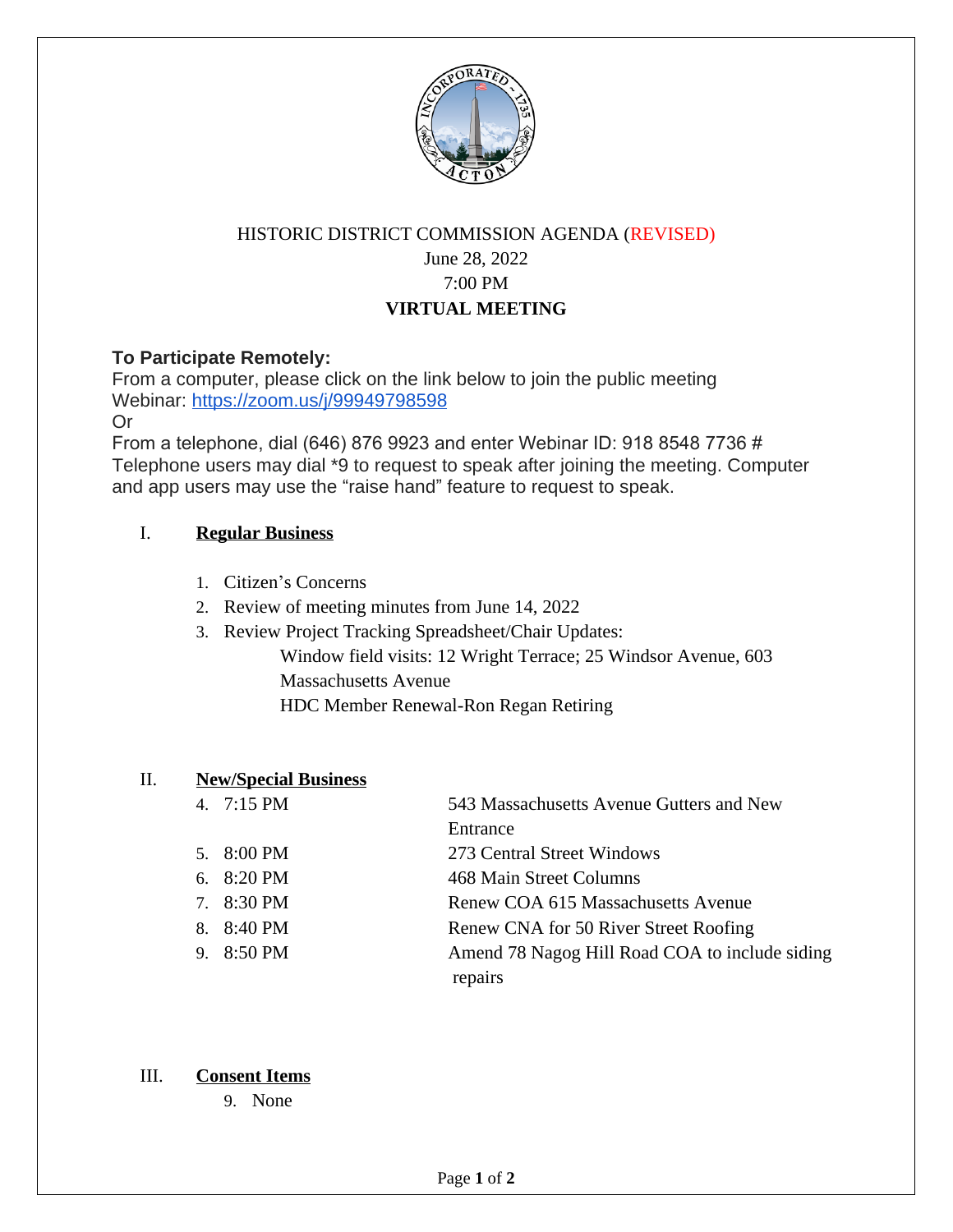

# HISTORIC DISTRICT COMMISSION AGENDA (REVISED) June 28, 2022 7:00 PM **VIRTUAL MEETING**

## **To Participate Remotely:**

From a computer, please click on the link below to join the public meeting Webinar: https://zoom.us/j/99949798598

Or

From a telephone, dial (646) 876 9923 and enter Webinar ID: 918 8548 7736 # Telephone users may dial \*9 to request to speak after joining the meeting. Computer and app users may use the "raise hand" feature to request to speak.

## I. **Regular Business**

- 1. Citizen's Concerns
- 2. Review of meeting minutes from June 14, 2022
- 3. Review Project Tracking Spreadsheet/Chair Updates: Window field visits: 12 Wright Terrace; 25 Windsor Avenue, 603 Massachusetts Avenue HDC Member Renewal-Ron Regan Retiring

#### II. **New/Special Business**

| 4. $7:15 \text{ PM}$ | 543 Massachusetts Avenue Gutters and New       |
|----------------------|------------------------------------------------|
|                      | Entrance                                       |
| 5. $8:00 \text{ PM}$ | 273 Central Street Windows                     |
| 6. $8:20 \text{ PM}$ | 468 Main Street Columns                        |
| 7. 8:30 PM           | Renew COA 615 Massachusetts Avenue             |
| 8. 8:40 PM           | Renew CNA for 50 River Street Roofing          |
| 9. 8:50 PM           | Amend 78 Nagog Hill Road COA to include siding |
|                      | repairs                                        |

#### III. **Consent Items**

9. None